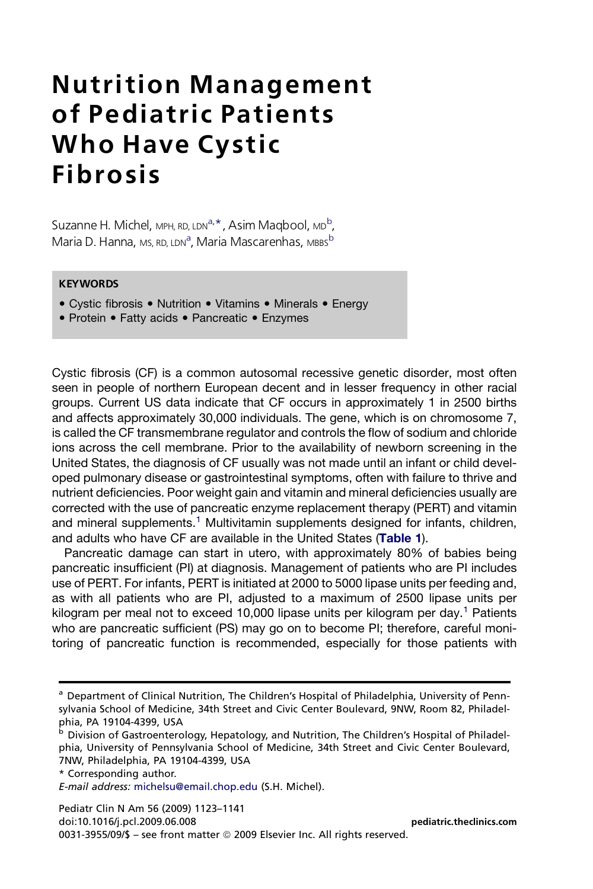# Nutrition Management of Pediatric Patients Who Have Cystic Fibrosis

Suzanne H. Michel, мрн, RD, LDN<sup>a, \*</sup>, Asim Maqbool, мр<sup>b</sup>, Maria D. Hanna, <sub>MS, RD, LDN</sub><sup>a</sup>, Maria Mascarenhas, <sub>MBBS</sub>b

## **KEYWORDS**

- Cystic fibrosis Nutrition Vitamins Minerals Energy
- Protein Fatty acids Pancreatic Enzymes

Cystic fibrosis (CF) is a common autosomal recessive genetic disorder, most often seen in people of northern European decent and in lesser frequency in other racial groups. Current US data indicate that CF occurs in approximately 1 in 2500 births and affects approximately 30,000 individuals. The gene, which is on chromosome 7, is called the CF transmembrane regulator and controls the flow of sodium and chloride ions across the cell membrane. Prior to the availability of newborn screening in the United States, the diagnosis of CF usually was not made until an infant or child developed pulmonary disease or gastrointestinal symptoms, often with failure to thrive and nutrient deficiencies. Poor weight gain and vitamin and mineral deficiencies usually are corrected with the use of pancreatic enzyme replacement therapy (PERT) and vitamin and mineral supplements.<sup>[1](#page-11-0)</sup> Multivitamin supplements designed for infants, children, and adults who have CF are available in the United States ([Table 1](#page-1-0)).

Pancreatic damage can start in utero, with approximately 80% of babies being pancreatic insufficient (PI) at diagnosis. Management of patients who are PI includes use of PERT. For infants, PERT is initiated at 2000 to 5000 lipase units per feeding and, as with all patients who are PI, adjusted to a maximum of 2500 lipase units per kilogram per meal not to exceed [1](#page-11-0)0,000 lipase units per kilogram per day.<sup>1</sup> Patients who are pancreatic sufficient (PS) may go on to become PI; therefore, careful monitoring of pancreatic function is recommended, especially for those patients with

Pediatr Clin N Am 56 (2009) 1123–1141 doi:10.1016/j.pcl.2009.06.008 [pediatric.theclinics.com](http://pediatric.theclinics.com) 0031-3955/09/\$ - see front matter © 2009 Elsevier Inc. All rights reserved.

<sup>&</sup>lt;sup>a</sup> Department of Clinical Nutrition, The Children's Hospital of Philadelphia, University of Pennsylvania School of Medicine, 34th Street and Civic Center Boulevard, 9NW, Room 82, Philadelphia, PA 19104-4399, USA

<sup>b</sup> Division of Gastroenterology, Hepatology, and Nutrition, The Children's Hospital of Philadelphia, University of Pennsylvania School of Medicine, 34th Street and Civic Center Boulevard, 7NW, Philadelphia, PA 19104-4399, USA

<sup>\*</sup> Corresponding author.

E-mail address: [michelsu@email.chop.edu](mailto:michelsu@email.chop.edu) (S.H. Michel).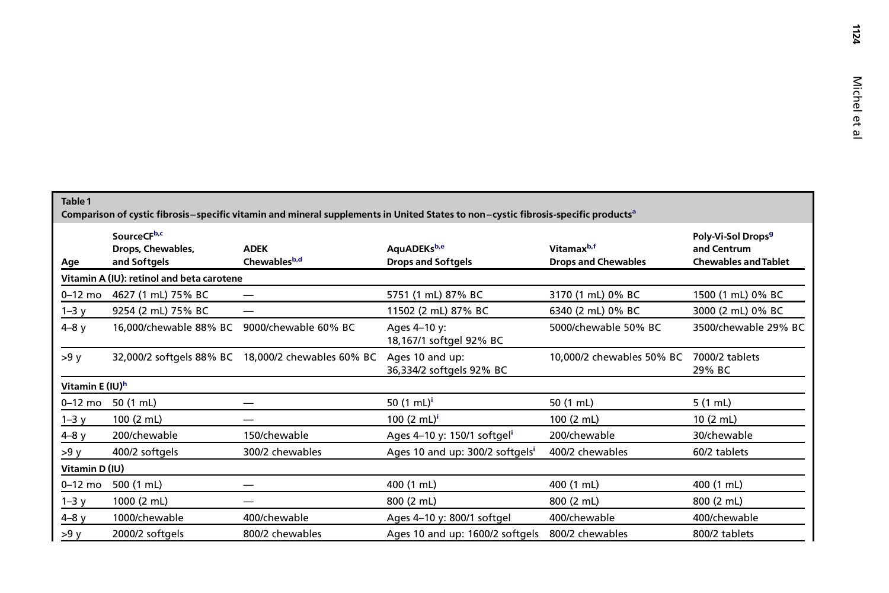1124

<span id="page-1-0"></span>

| Table 1<br>Comparison of cystic fibrosis–specific vitamin and mineral supplements in United States to non–cystic fibrosis-specific products <sup>a</sup> |                                                  |                             |                                             |                                                      |                                                                              |  |  |
|----------------------------------------------------------------------------------------------------------------------------------------------------------|--------------------------------------------------|-----------------------------|---------------------------------------------|------------------------------------------------------|------------------------------------------------------------------------------|--|--|
| Age                                                                                                                                                      | SourceCFb,c<br>Drops, Chewables,<br>and Softgels | <b>ADEK</b><br>Chewablesb,d | AquADEKsb,e<br><b>Drops and Softgels</b>    | Vitamax <sup>b,f</sup><br><b>Drops and Chewables</b> | Poly-Vi-Sol Drops <sup>9</sup><br>and Centrum<br><b>Chewables and Tablet</b> |  |  |
| Vitamin A (IU): retinol and beta carotene                                                                                                                |                                                  |                             |                                             |                                                      |                                                                              |  |  |
| $0-12$ mo                                                                                                                                                | 4627 (1 mL) 75% BC                               |                             | 5751 (1 mL) 87% BC                          | 3170 (1 mL) 0% BC                                    | 1500 (1 mL) 0% BC                                                            |  |  |
| $1-3y$                                                                                                                                                   | 9254 (2 mL) 75% BC                               |                             | 11502 (2 mL) 87% BC                         | 6340 (2 mL) 0% BC                                    | 3000 (2 mL) 0% BC                                                            |  |  |
| $4-8y$                                                                                                                                                   | 16,000/chewable 88% BC                           | 9000/chewable 60% BC        | Ages 4-10 y:<br>18,167/1 softgel 92% BC     | 5000/chewable 50% BC                                 | 3500/chewable 29% BC                                                         |  |  |
| >9y                                                                                                                                                      | 32,000/2 softgels 88% BC                         | 18,000/2 chewables 60% BC   | Ages 10 and up:<br>36,334/2 softgels 92% BC | 10,000/2 chewables 50% BC                            | 7000/2 tablets<br>29% BC                                                     |  |  |
| Vitamin E (IU) <sup>h</sup>                                                                                                                              |                                                  |                             |                                             |                                                      |                                                                              |  |  |
| $0-12$ mo                                                                                                                                                | 50 (1 mL)                                        |                             | 50 $(1 \text{ mL})^1$                       | 50 (1 mL)                                            | 5 (1 mL)                                                                     |  |  |
| $1-3y$                                                                                                                                                   | 100 (2 mL)                                       | —                           | 100 $(2 \text{ mL})^i$                      | 100 (2 mL)                                           | 10(2 mL)                                                                     |  |  |
| $4-8y$                                                                                                                                                   | 200/chewable                                     | 150/chewable                | Ages 4-10 y: 150/1 softgel <sup>i</sup>     | 200/chewable                                         | 30/chewable                                                                  |  |  |
| >9y                                                                                                                                                      | 400/2 softgels                                   | 300/2 chewables             | Ages 10 and up: 300/2 softgels <sup>i</sup> | 400/2 chewables                                      | 60/2 tablets                                                                 |  |  |
| Vitamin D(IU)                                                                                                                                            |                                                  |                             |                                             |                                                      |                                                                              |  |  |
| $0-12$ mo                                                                                                                                                | 500 (1 mL)                                       |                             | 400 (1 mL)                                  | 400 (1 mL)                                           | 400 (1 mL)                                                                   |  |  |
| $1 - 3y$                                                                                                                                                 | 1000 (2 mL)                                      |                             | 800 (2 mL)                                  | 800 (2 mL)                                           | 800 (2 mL)                                                                   |  |  |
| $4-8y$                                                                                                                                                   | 1000/chewable                                    | 400/chewable                | Ages 4-10 y: 800/1 softgel                  | 400/chewable                                         | 400/chewable                                                                 |  |  |
| >9y                                                                                                                                                      | 2000/2 softgels                                  | 800/2 chewables             | Ages 10 and up: 1600/2 softgels             | 800/2 chewables                                      | 800/2 tablets                                                                |  |  |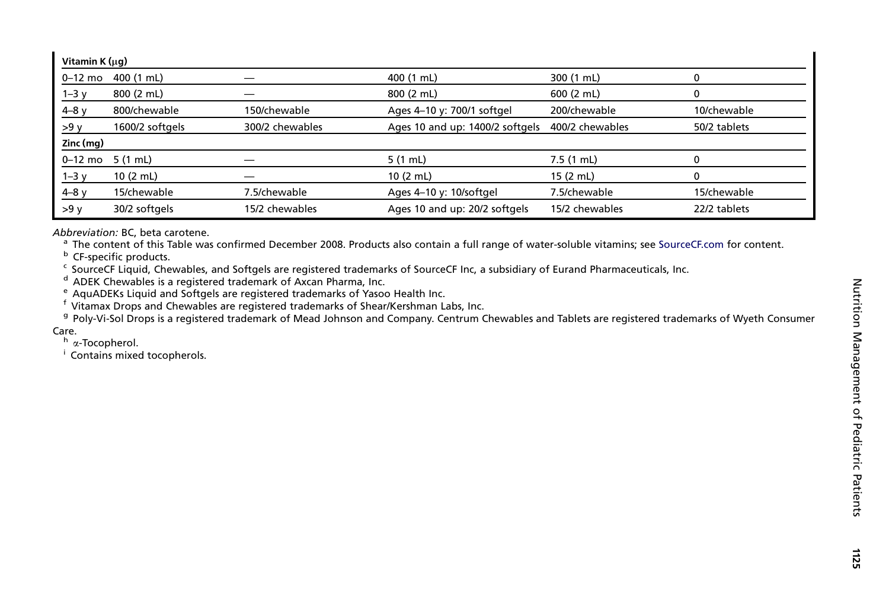| Vitamin K (µq) |                 |                 |                                 |                 |              |  |
|----------------|-----------------|-----------------|---------------------------------|-----------------|--------------|--|
| $0-12$ mo      | 400 (1 mL)      |                 | 400 (1 mL)                      | 300 (1 mL)      |              |  |
| $1-3y$         | 800 (2 mL)      |                 | 800 (2 mL)                      | 600(2 mL)       |              |  |
| $4-8y$         | 800/chewable    | 150/chewable    | Ages 4-10 y: 700/1 softgel      | 200/chewable    | 10/chewable  |  |
| $>9$ y         | 1600/2 softgels | 300/2 chewables | Ages 10 and up: 1400/2 softgels | 400/2 chewables | 50/2 tablets |  |
| Zinc (mg)      |                 |                 |                                 |                 |              |  |
| $0-12$ mo      | 5 (1 mL)        |                 | 5(1 mL)                         | 7.5 (1 mL)      |              |  |
| $1-3y$         | 10(2 mL)        |                 | 10(2 mL)                        | 15 (2 mL)       |              |  |
| $4-8y$         | 15/chewable     | 7.5/chewable    | Ages 4-10 y: 10/softgel         | 7.5/chewable    | 15/chewable  |  |
| $>9$ y         | 30/2 softgels   | 15/2 chewables  | Ages 10 and up: 20/2 softgels   | 15/2 chewables  | 22/2 tablets |  |

Abbreviation: BC, beta carotene.

<sup>a</sup> The content of this Table was confirmed December 2008. Products also contain a full range of water-soluble vitamins; see [SourceCF.com](http://SourceCF.com) for content.

<sup>b</sup> CF-specific products.

 $\cdot$  SourceCF Liquid, Chewables, and Softgels are registered trademarks of SourceCF Inc, a subsidiary of Eurand Pharmaceuticals, Inc.

<sup>d</sup> ADEK Chewables is a registered trademark of Axcan Pharma, Inc.

 $\text{ }^{\text{e}}$  AquADEKs Liquid and Softgels are registered trademarks of Yasoo Health Inc.

f Vitamax Drops and Chewables are registered trademarks of Shear/Kershman Labs, Inc.

<sup>g</sup> Poly-Vi-Sol Drops is <sup>a</sup> registered trademark of Mead Johnson and Company. Centrum Chewables and Tablets are registered trademarks of Wyeth Consumer Care.

<sup>h</sup> α-Tocopherol.

<sup>i</sup> Contains mixed tocopherols.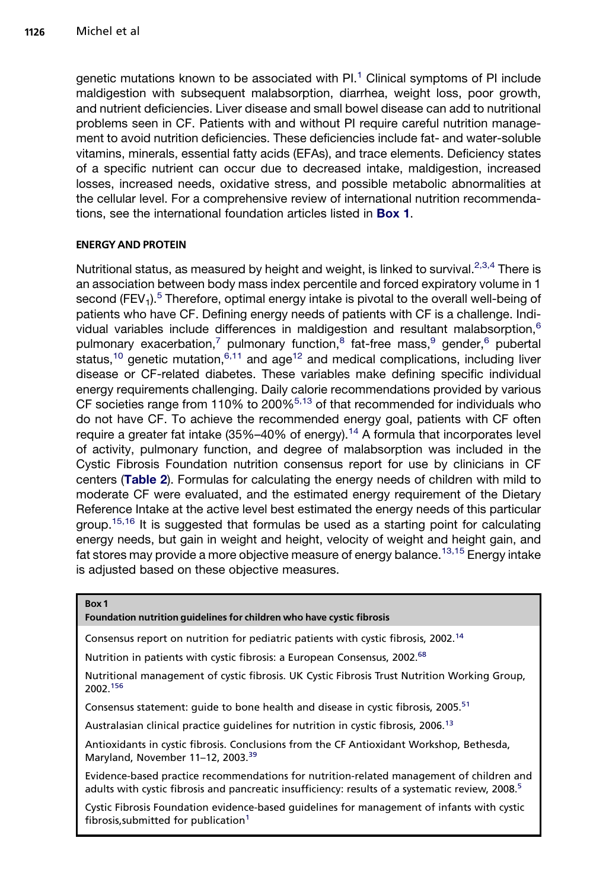<span id="page-3-0"></span>genetic mutations known to be associated with  $PL<sup>1</sup>$  $PL<sup>1</sup>$  $PL<sup>1</sup>$  Clinical symptoms of PI include maldigestion with subsequent malabsorption, diarrhea, weight loss, poor growth, and nutrient deficiencies. Liver disease and small bowel disease can add to nutritional problems seen in CF. Patients with and without PI require careful nutrition management to avoid nutrition deficiencies. These deficiencies include fat- and water-soluble vitamins, minerals, essential fatty acids (EFAs), and trace elements. Deficiency states of a specific nutrient can occur due to decreased intake, maldigestion, increased losses, increased needs, oxidative stress, and possible metabolic abnormalities at the cellular level. For a comprehensive review of international nutrition recommendations, see the international foundation articles listed in Box 1.

## ENERGYAND PROTEIN

Nutritional status, as measured by height and weight, is linked to survival.<sup>[2,3,4](#page-11-0)</sup> There is an association between body mass index percentile and forced expiratory volume in 1 second (FEV<sub>1</sub>).<sup>[5](#page-11-0)</sup> Therefore, optimal energy intake is pivotal to the overall well-being of patients who have CF. Defining energy needs of patients with CF is a challenge. Indi-vidual variables include differences in maldigestion and resultant malabsorption,<sup>[6](#page-11-0)</sup> pulmonary exacerbation,<sup>[7](#page-11-0)</sup> pulmonary function,<sup>[8](#page-11-0)</sup> fat-free mass,<sup>[9](#page-11-0)</sup> gender,<sup>[6](#page-11-0)</sup> pubertal status,<sup>10</sup> genetic mutation,<sup>[6,11](#page-11-0)</sup> and age<sup>[12](#page-11-0)</sup> and medical complications, including liver disease or CF-related diabetes. These variables make defining specific individual energy requirements challenging. Daily calorie recommendations provided by various CF societies range from 110% to 200%[5,13](#page-11-0) of that recommended for individuals who do not have CF. To achieve the recommended energy goal, patients with CF often require a greater fat intake  $(35\%-40\%)$  of energy).<sup>[14](#page-11-0)</sup> A formula that incorporates level of activity, pulmonary function, and degree of malabsorption was included in the Cystic Fibrosis Foundation nutrition consensus report for use by clinicians in CF centers ([Table 2](#page-4-0)). Formulas for calculating the energy needs of children with mild to moderate CF were evaluated, and the estimated energy requirement of the Dietary Reference Intake at the active level best estimated the energy needs of this particular group.<sup>15,16</sup> It is suggested that formulas be used as a starting point for calculating energy needs, but gain in weight and height, velocity of weight and height gain, and fat stores may provide a more objective measure of energy balance.<sup>[13,15](#page-11-0)</sup> Energy intake is adjusted based on these objective measures.

#### Box 1

#### Foundation nutrition guidelines for children who have cystic fibrosis

Consensus report on nutrition for pediatric patients with cystic fibrosis, 2002.<sup>[14](#page-11-0)</sup>

Nutrition in patients with cystic fibrosis: a European Consensus, 2002.<sup>68</sup>

Nutritional management of cystic fibrosis. UK Cystic Fibrosis Trust Nutrition Working Group, 2002.[156](#page-18-0)

Consensus statement: quide to bone health and disease in cystic fibrosis, 2005.<sup>[51](#page-13-0)</sup>

Australasian clinical practice guidelines for nutrition in cystic fibrosis, 2006.<sup>[13](#page-11-0)</sup>

Antioxidants in cystic fibrosis. Conclusions from the CF Antioxidant Workshop, Bethesda, Maryland, November 11-12, 2003.<sup>[39](#page-13-0)</sup>

Evidence-based practice recommendations for nutrition-related management of children and adults with cystic fibrosis and pancreatic insufficiency: results of a systematic review, 2008.<sup>[5](#page-11-0)</sup>

Cystic Fibrosis Foundation evidence-based guidelines for management of infants with cystic fibrosis, submitted for publication<sup>[1](#page-11-0)</sup>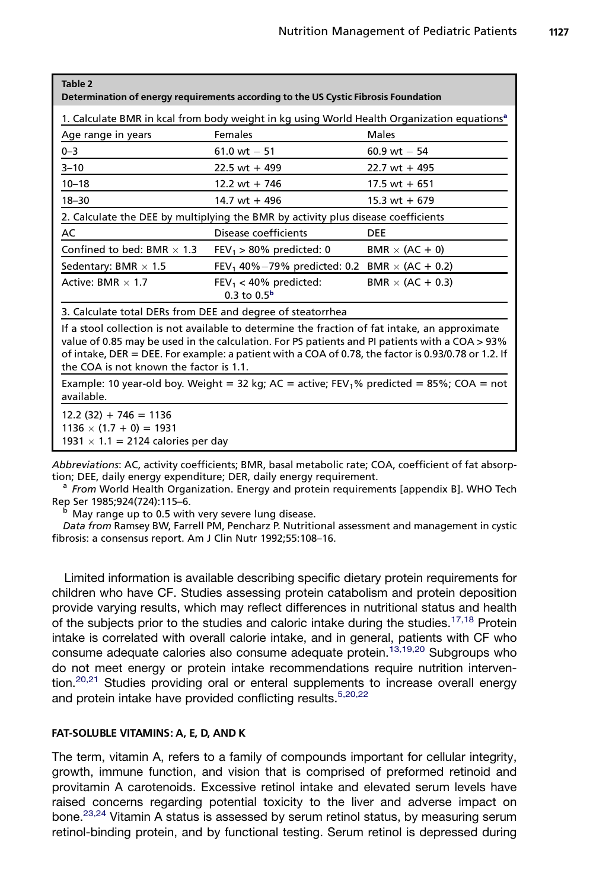<span id="page-4-0"></span>

| Table 2<br>Determination of energy requirements according to the US Cystic Fibrosis Foundation                                                                                                                                                                                                                                                     |                                                                 |                         |  |  |  |  |  |
|----------------------------------------------------------------------------------------------------------------------------------------------------------------------------------------------------------------------------------------------------------------------------------------------------------------------------------------------------|-----------------------------------------------------------------|-------------------------|--|--|--|--|--|
| 1. Calculate BMR in kcal from body weight in kg using World Health Organization equations <sup>a</sup>                                                                                                                                                                                                                                             |                                                                 |                         |  |  |  |  |  |
| Age range in years                                                                                                                                                                                                                                                                                                                                 | Females                                                         | <b>Males</b>            |  |  |  |  |  |
| $0 - 3$                                                                                                                                                                                                                                                                                                                                            | $61.0 \text{ wt} - 51$                                          | $60.9$ wt $-54$         |  |  |  |  |  |
| $3 - 10$                                                                                                                                                                                                                                                                                                                                           | $22.5$ wt + 499                                                 | $22.7$ wt + 495         |  |  |  |  |  |
| $10 - 18$                                                                                                                                                                                                                                                                                                                                          | 12.2 wt + 746                                                   | $17.5$ wt + 651         |  |  |  |  |  |
| $18 - 30$                                                                                                                                                                                                                                                                                                                                          | $14.7$ wt + 496                                                 | $15.3 \text{ wt} + 679$ |  |  |  |  |  |
| 2. Calculate the DEE by multiplying the BMR by activity plus disease coefficients                                                                                                                                                                                                                                                                  |                                                                 |                         |  |  |  |  |  |
| AC                                                                                                                                                                                                                                                                                                                                                 | Disease coefficients                                            | <b>DEE</b>              |  |  |  |  |  |
| Confined to bed: BMR $\times$ 1.3                                                                                                                                                                                                                                                                                                                  | $FEV_1 > 80\%$ predicted: 0                                     | $BMR \times (AC + 0)$   |  |  |  |  |  |
| Sedentary: BMR $\times$ 1.5                                                                                                                                                                                                                                                                                                                        | FEV <sub>1</sub> 40%-79% predicted: 0.2 BMR $\times$ (AC + 0.2) |                         |  |  |  |  |  |
| Active: BMR $\times$ 1.7                                                                                                                                                                                                                                                                                                                           | $FEV_1 < 40\%$ predicted:<br>$0.3$ to $0.5^{\rm b}$             | BMR $\times$ (AC + 0.3) |  |  |  |  |  |
| 3. Calculate total DERs from DEE and degree of steatorrhea                                                                                                                                                                                                                                                                                         |                                                                 |                         |  |  |  |  |  |
| If a stool collection is not available to determine the fraction of fat intake, an approximate<br>value of 0.85 may be used in the calculation. For PS patients and PI patients with a COA > 93%<br>of intake, DER = DEE. For example: a patient with a COA of 0.78, the factor is 0.93/0.78 or 1.2. If<br>the COA is not known the factor is 1.1. |                                                                 |                         |  |  |  |  |  |
| Example: 10 year-old boy. Weight = 32 kg; AC = active; FEV <sub>1</sub> % predicted = 85%; COA = not<br>available.                                                                                                                                                                                                                                 |                                                                 |                         |  |  |  |  |  |
| $12.2(32) + 746 = 1136$<br>$1136 \times (1.7 + 0) = 1931$<br>1931 $\times$ 1.1 = 2124 calories per day                                                                                                                                                                                                                                             |                                                                 |                         |  |  |  |  |  |

Abbreviations: AC, activity coefficients; BMR, basal metabolic rate; COA, coefficient of fat absorption; DEE, daily energy expenditure; DER, daily energy requirement.<br><sup>a</sup> From World Health Organization. Energy and protein requirements [appendix B]. WHO Tech

Rep Ser 1985;924(724):115–6.<br><sup>b</sup> May range up to 0.5 with very severe lung disease.

Data from Ramsey BW, Farrell PM, Pencharz P. Nutritional assessment and management in cystic fibrosis: a consensus report. Am J Clin Nutr 1992;55:108–16.

Limited information is available describing specific dietary protein requirements for children who have CF. Studies assessing protein catabolism and protein deposition provide varying results, which may reflect differences in nutritional status and health of the subjects prior to the studies and caloric intake during the studies.<sup>[17,18](#page-12-0)</sup> Protein intake is correlated with overall calorie intake, and in general, patients with CF who consume adequate calories also consume adequate protein.<sup>[13,19,20](#page-11-0)</sup> Subgroups who do not meet energy or protein intake recommendations require nutrition interven-tion.<sup>[20,21](#page-12-0)</sup> Studies providing oral or enteral supplements to increase overall energy and protein intake have provided conflicting results.<sup>[5,20,22](#page-11-0)</sup>

#### FAT-SOLUBLE VITAMINS: A, E, D, AND K

The term, vitamin A, refers to a family of compounds important for cellular integrity, growth, immune function, and vision that is comprised of preformed retinoid and provitamin A carotenoids. Excessive retinol intake and elevated serum levels have raised concerns regarding potential toxicity to the liver and adverse impact on bone.<sup>[23,24](#page-12-0)</sup> Vitamin A status is assessed by serum retinol status, by measuring serum retinol-binding protein, and by functional testing. Serum retinol is depressed during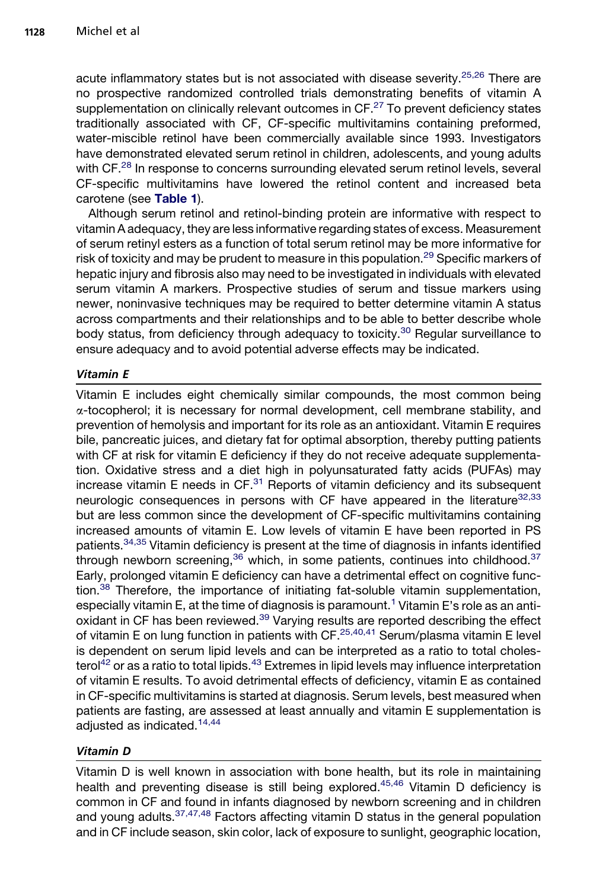acute inflammatory states but is not associated with disease severity.<sup>[25,26](#page-12-0)</sup> There are no prospective randomized controlled trials demonstrating benefits of vitamin A supplementation on clinically relevant outcomes in CF.<sup>27</sup> To prevent deficiency states traditionally associated with CF, CF-specific multivitamins containing preformed, water-miscible retinol have been commercially available since 1993. Investigators have demonstrated elevated serum retinol in children, adolescents, and young adults with CF.<sup>28</sup> In response to concerns surrounding elevated serum retinol levels, several CF-specific multivitamins have lowered the retinol content and increased beta carotene (see [Table 1](#page-1-0)).

Although serum retinol and retinol-binding protein are informative with respect to vitamin A adequacy, they are less informative regarding states of excess. Measurement of serum retinyl esters as a function of total serum retinol may be more informative for risk of toxicity and may be prudent to measure in this population.<sup>[29](#page-12-0)</sup> Specific markers of hepatic injury and fibrosis also may need to be investigated in individuals with elevated serum vitamin A markers. Prospective studies of serum and tissue markers using newer, noninvasive techniques may be required to better determine vitamin A status across compartments and their relationships and to be able to better describe whole body status, from deficiency through adequacy to toxicity.<sup>[30](#page-12-0)</sup> Regular surveillance to ensure adequacy and to avoid potential adverse effects may be indicated.

# Vitamin E

Vitamin E includes eight chemically similar compounds, the most common being  $\alpha$ -tocopherol; it is necessary for normal development, cell membrane stability, and prevention of hemolysis and important for its role as an antioxidant. Vitamin E requires bile, pancreatic juices, and dietary fat for optimal absorption, thereby putting patients with CF at risk for vitamin E deficiency if they do not receive adequate supplementation. Oxidative stress and a diet high in polyunsaturated fatty acids (PUFAs) may increase vitamin E needs in  $CF.^{31}$  $CF.^{31}$  $CF.^{31}$  Reports of vitamin deficiency and its subsequent neurologic consequences in persons with CF have appeared in the literature<sup>[32,33](#page-12-0)</sup> but are less common since the development of CF-specific multivitamins containing increased amounts of vitamin E. Low levels of vitamin E have been reported in PS patients.[34,35](#page-12-0) Vitamin deficiency is present at the time of diagnosis in infants identified through newborn screening,  $36$  which, in some patients, continues into childhood.  $37$ Early, prolonged vitamin E deficiency can have a detrimental effect on cognitive function.[38](#page-13-0) Therefore, the importance of initiating fat-soluble vitamin supplementation, especially vitamin E, at the time of diagnosis is paramount.<sup>[1](#page-11-0)</sup> Vitamin E's role as an anti-oxidant in CF has been reviewed.<sup>[39](#page-13-0)</sup> Varying results are reported describing the effect of vitamin E on lung function in patients with CF.[25,40,41](#page-12-0) Serum/plasma vitamin E level is dependent on serum lipid levels and can be interpreted as a ratio to total choles $t$ erol<sup>[42](#page-13-0)</sup> or as a ratio to total lipids.<sup>[43](#page-13-0)</sup> Extremes in lipid levels may influence interpretation of vitamin E results. To avoid detrimental effects of deficiency, vitamin E as contained in CF-specific multivitamins is started at diagnosis. Serum levels, best measured when patients are fasting, are assessed at least annually and vitamin E supplementation is adjusted as indicated.[14,44](#page-11-0)

# Vitamin D

Vitamin D is well known in association with bone health, but its role in maintaining health and preventing disease is still being explored.<sup>[45,46](#page-13-0)</sup> Vitamin D deficiency is common in CF and found in infants diagnosed by newborn screening and in children and young adults. [37,47,48](#page-13-0) Factors affecting vitamin D status in the general population and in CF include season, skin color, lack of exposure to sunlight, geographic location,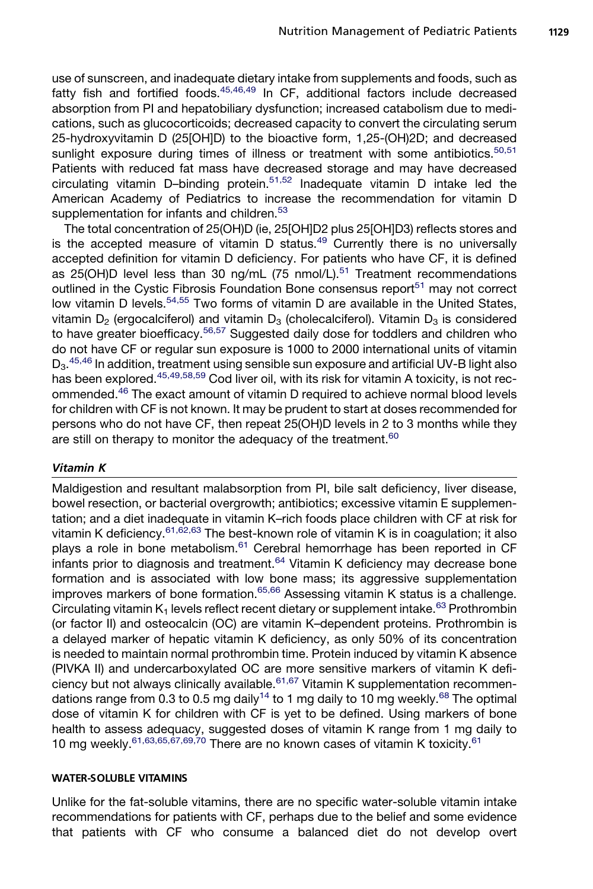use of sunscreen, and inadequate dietary intake from supplements and foods, such as fatty fish and fortified foods. $45,46,49$  In CF, additional factors include decreased absorption from PI and hepatobiliary dysfunction; increased catabolism due to medications, such as glucocorticoids; decreased capacity to convert the circulating serum 25-hydroxyvitamin D (25[OH]D) to the bioactive form, 1,25-(OH)2D; and decreased sunlight exposure during times of illness or treatment with some antibiotics. $50,51$ Patients with reduced fat mass have decreased storage and may have decreased circulating vitamin D–binding protein.[51,52](#page-13-0) Inadequate vitamin D intake led the American Academy of Pediatrics to increase the recommendation for vitamin D supplementation for infants and children.<sup>[53](#page-13-0)</sup>

The total concentration of 25(OH)D (ie, 25[OH]D2 plus 25[OH]D3) reflects stores and is the accepted measure of vitamin  $\overrightarrow{D}$  status.<sup>[49](#page-13-0)</sup> Currently there is no universally accepted definition for vitamin D deficiency. For patients who have CF, it is defined as  $25(OH)D$  level less than 30 ng/mL (75 nmol/L).<sup>[51](#page-13-0)</sup> Treatment recommendations outlined in the Cystic Fibrosis Foundation Bone consensus report<sup>[51](#page-13-0)</sup> may not correct low vitamin D levels.<sup>[54,55](#page-13-0)</sup> Two forms of vitamin D are available in the United States, vitamin  $D_2$  (ergocalciferol) and vitamin  $D_3$  (cholecalciferol). Vitamin  $D_3$  is considered to have greater bioefficacy.<sup>[56,57](#page-13-0)</sup> Suggested daily dose for toddlers and children who do not have CF or regular sun exposure is 1000 to 2000 international units of vitamin D<sub>3</sub>.<sup>[45,46](#page-13-0)</sup> In addition, treatment using sensible sun exposure and artificial UV-B light also has been explored.<sup>[45,49,58,59](#page-13-0)</sup> Cod liver oil, with its risk for vitamin A toxicity, is not recommended[.46](#page-13-0) The exact amount of vitamin D required to achieve normal blood levels for children with CF is not known. It may be prudent to start at doses recommended for persons who do not have CF, then repeat 25(OH)D levels in 2 to 3 months while they are still on therapy to monitor the adequacy of the treatment.<sup>[60](#page-14-0)</sup>

#### Vitamin K

Maldigestion and resultant malabsorption from PI, bile salt deficiency, liver disease, bowel resection, or bacterial overgrowth; antibiotics; excessive vitamin E supplementation; and a diet inadequate in vitamin K–rich foods place children with CF at risk for vitamin K deficiency.<sup>[61,62,63](#page-14-0)</sup> The best-known role of vitamin K is in coagulation; it also plays a role in bone metabolism.<sup>[61](#page-14-0)</sup> Cerebral hemorrhage has been reported in CF  $\frac{1}{2}$  infants prior to diagnosis and treatment.<sup>[64](#page-14-0)</sup> Vitamin K deficiency may decrease bone formation and is associated with low bone mass; its aggressive supplementation improves markers of bone formation.<sup>[65,66](#page-14-0)</sup> Assessing vitamin K status is a challenge. Circulating vitamin  $K_1$  levels reflect recent dietary or supplement intake.<sup>[63](#page-14-0)</sup> Prothrombin (or factor II) and osteocalcin (OC) are vitamin K–dependent proteins. Prothrombin is a delayed marker of hepatic vitamin K deficiency, as only 50% of its concentration is needed to maintain normal prothrombin time. Protein induced by vitamin K absence (PIVKA II) and undercarboxylated OC are more sensitive markers of vitamin K defi-ciency but not always clinically available.<sup>[61,67](#page-14-0)</sup> Vitamin K supplementation recommen-dations range from 0.3 to 0.5 mg daily<sup>[14](#page-11-0)</sup> to 1 mg daily to 10 mg weekly.<sup>[68](#page-14-0)</sup> The optimal dose of vitamin K for children with CF is yet to be defined. Using markers of bone health to assess adequacy, suggested doses of vitamin K range from 1 mg daily to 10 mg weekly.  $61,63,65,67,69,70$  There are no known cases of vitamin K toxicity.  $61$ 

#### WATER-SOLUBLE VITAMINS

Unlike for the fat-soluble vitamins, there are no specific water-soluble vitamin intake recommendations for patients with CF, perhaps due to the belief and some evidence that patients with CF who consume a balanced diet do not develop overt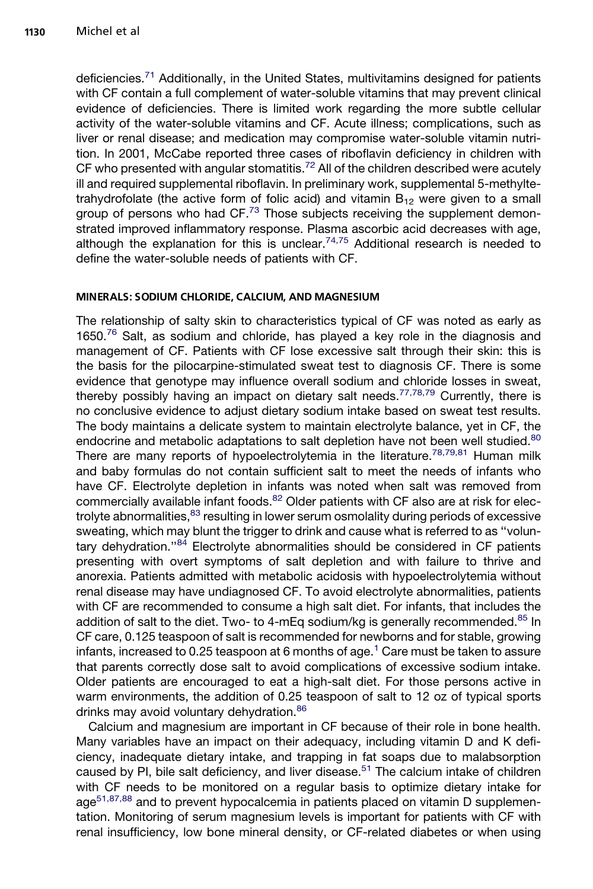deficiencies.[71](#page-14-0) Additionally, in the United States, multivitamins designed for patients with CF contain a full complement of water-soluble vitamins that may prevent clinical evidence of deficiencies. There is limited work regarding the more subtle cellular activity of the water-soluble vitamins and CF. Acute illness; complications, such as liver or renal disease; and medication may compromise water-soluble vitamin nutrition. In 2001, McCabe reported three cases of riboflavin deficiency in children with CF who presented with angular stomatitis.<sup>[72](#page-14-0)</sup> All of the children described were acutely ill and required supplemental riboflavin. In preliminary work, supplemental 5-methyltetrahydrofolate (the active form of folic acid) and vitamin  $B_{12}$  were given to a small group of persons who had CF.<sup>[73](#page-14-0)</sup> Those subjects receiving the supplement demonstrated improved inflammatory response. Plasma ascorbic acid decreases with age, although the explanation for this is unclear.<sup>[74,75](#page-14-0)</sup> Additional research is needed to define the water-soluble needs of patients with CF.

## MINERALS: SODIUM CHLORIDE, CALCIUM, AND MAGNESIUM

The relationship of salty skin to characteristics typical of CF was noted as early as 1650.[76](#page-14-0) Salt, as sodium and chloride, has played a key role in the diagnosis and management of CF. Patients with CF lose excessive salt through their skin: this is the basis for the pilocarpine-stimulated sweat test to diagnosis CF. There is some evidence that genotype may influence overall sodium and chloride losses in sweat, thereby possibly having an impact on dietary salt needs.<sup>[77,78,79](#page-14-0)</sup> Currently, there is no conclusive evidence to adjust dietary sodium intake based on sweat test results. The body maintains a delicate system to maintain electrolyte balance, yet in CF, the endocrine and metabolic adaptations to salt depletion have not been well studied.<sup>[80](#page-15-0)</sup> There are many reports of hypoelectrolytemia in the literature.<sup>[78,79,81](#page-14-0)</sup> Human milk and baby formulas do not contain sufficient salt to meet the needs of infants who have CF. Electrolyte depletion in infants was noted when salt was removed from commercially available infant foods.<sup>[82](#page-15-0)</sup> Older patients with CF also are at risk for elec-trolyte abnormalities, <sup>[83](#page-15-0)</sup> resulting in lower serum osmolality during periods of excessive sweating, which may blunt the trigger to drink and cause what is referred to as ''volun-tary dehydration."[84](#page-15-0) Electrolyte abnormalities should be considered in CF patients presenting with overt symptoms of salt depletion and with failure to thrive and anorexia. Patients admitted with metabolic acidosis with hypoelectrolytemia without renal disease may have undiagnosed CF. To avoid electrolyte abnormalities, patients with CF are recommended to consume a high salt diet. For infants, that includes the addition of salt to the diet. Two- to 4-mEq sodium/kg is generally recommended.<sup>[85](#page-15-0)</sup> In CF care, 0.125 teaspoon of salt is recommended for newborns and for stable, growing infants, increased to 0.25 teaspoon at 6 months of age.<sup>[1](#page-11-0)</sup> Care must be taken to assure that parents correctly dose salt to avoid complications of excessive sodium intake. Older patients are encouraged to eat a high-salt diet. For those persons active in warm environments, the addition of 0.25 teaspoon of salt to 12 oz of typical sports drinks may avoid voluntary dehydration.<sup>[86](#page-15-0)</sup>

Calcium and magnesium are important in CF because of their role in bone health. Many variables have an impact on their adequacy, including vitamin D and K deficiency, inadequate dietary intake, and trapping in fat soaps due to malabsorption caused by PI, bile salt deficiency, and liver disease. $51$  The calcium intake of children with CF needs to be monitored on a regular basis to optimize dietary intake for age<sup>[51,87,88](#page-13-0)</sup> and to prevent hypocalcemia in patients placed on vitamin D supplementation. Monitoring of serum magnesium levels is important for patients with CF with renal insufficiency, low bone mineral density, or CF-related diabetes or when using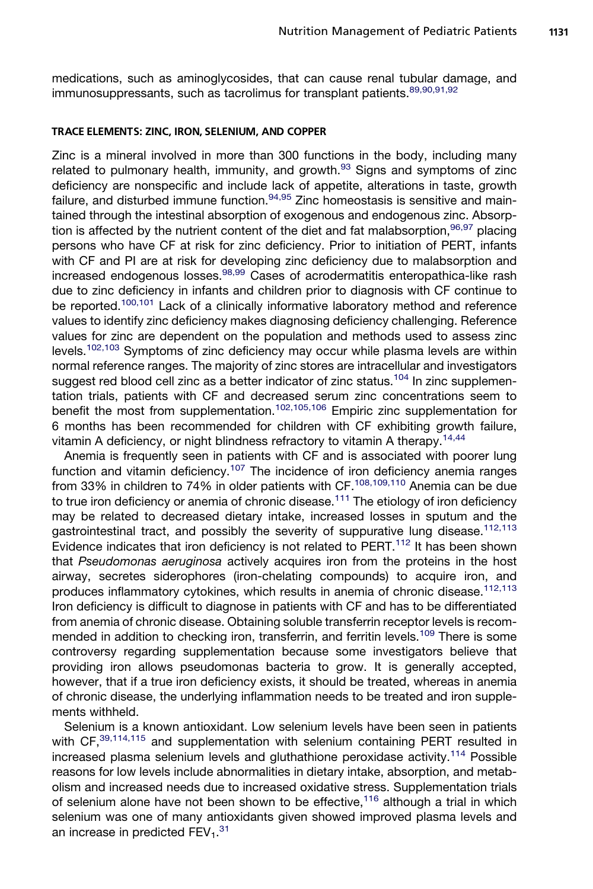medications, such as aminoglycosides, that can cause renal tubular damage, and immunosuppressants, such as tacrolimus for transplant patients. [89,90,91,92](#page-15-0)

#### TRACE ELEMENTS: ZINC, IRON, SELENIUM, AND COPPER

Zinc is a mineral involved in more than 300 functions in the body, including many related to pulmonary health, immunity, and growth. $93$  Signs and symptoms of zinc deficiency are nonspecific and include lack of appetite, alterations in taste, growth failure, and disturbed immune function. $94,95$  Zinc homeostasis is sensitive and maintained through the intestinal absorption of exogenous and endogenous zinc. Absorption is affected by the nutrient content of the diet and fat malabsorption,  $96,97$  placing persons who have CF at risk for zinc deficiency. Prior to initiation of PERT, infants with CF and PI are at risk for developing zinc deficiency due to malabsorption and increased endogenous losses.<sup>[98,99](#page-15-0)</sup> Cases of acrodermatitis enteropathica-like rash due to zinc deficiency in infants and children prior to diagnosis with CF continue to be reported.<sup>[100,101](#page-15-0)</sup> Lack of a clinically informative laboratory method and reference values to identify zinc deficiency makes diagnosing deficiency challenging. Reference values for zinc are dependent on the population and methods used to assess zinc levels.[102,103](#page-16-0) Symptoms of zinc deficiency may occur while plasma levels are within normal reference ranges. The majority of zinc stores are intracellular and investigators suggest red blood cell zinc as a better indicator of zinc status.<sup>[104](#page-16-0)</sup> In zinc supplementation trials, patients with CF and decreased serum zinc concentrations seem to benefit the most from supplementation.<sup>[102,105,106](#page-16-0)</sup> Empiric zinc supplementation for 6 months has been recommended for children with CF exhibiting growth failure, vitamin A deficiency, or night blindness refractory to vitamin A therapy.<sup>[14,44](#page-11-0)</sup>

Anemia is frequently seen in patients with CF and is associated with poorer lung function and vitamin deficiency.<sup>[107](#page-16-0)</sup> The incidence of iron deficiency anemia ranges from 33% in children to 74% in older patients with CF.<sup>108,109,110</sup> Anemia can be due to true iron deficiency or anemia of chronic disease.<sup>[111](#page-16-0)</sup> The etiology of iron deficiency may be related to decreased dietary intake, increased losses in sputum and the gastrointestinal tract, and possibly the severity of suppurative lung disease.<sup>[112,113](#page-16-0)</sup> Evidence indicates that iron deficiency is not related to PERT.<sup>[112](#page-16-0)</sup> It has been shown that *Pseudomonas aeruginosa* actively acquires iron from the proteins in the host airway, secretes siderophores (iron-chelating compounds) to acquire iron, and produces inflammatory cytokines, which results in anemia of chronic disease.<sup>[112,113](#page-16-0)</sup> Iron deficiency is difficult to diagnose in patients with CF and has to be differentiated from anemia of chronic disease. Obtaining soluble transferrin receptor levels is recom-mended in addition to checking iron, transferrin, and ferritin levels.<sup>[109](#page-16-0)</sup> There is some controversy regarding supplementation because some investigators believe that providing iron allows pseudomonas bacteria to grow. It is generally accepted, however, that if a true iron deficiency exists, it should be treated, whereas in anemia of chronic disease, the underlying inflammation needs to be treated and iron supplements withheld.

Selenium is a known antioxidant. Low selenium levels have been seen in patients with CF, 39, 114, 115 and supplementation with selenium containing PERT resulted in increased plasma selenium levels and gluthathione peroxidase activity.<sup>[114](#page-16-0)</sup> Possible reasons for low levels include abnormalities in dietary intake, absorption, and metabolism and increased needs due to increased oxidative stress. Supplementation trials of selenium alone have not been shown to be effective,<sup>[116](#page-16-0)</sup> although a trial in which selenium was one of many antioxidants given showed improved plasma levels and an increase in predicted  $\mathsf{FEV}_1.^{31}$  $\mathsf{FEV}_1.^{31}$  $\mathsf{FEV}_1.^{31}$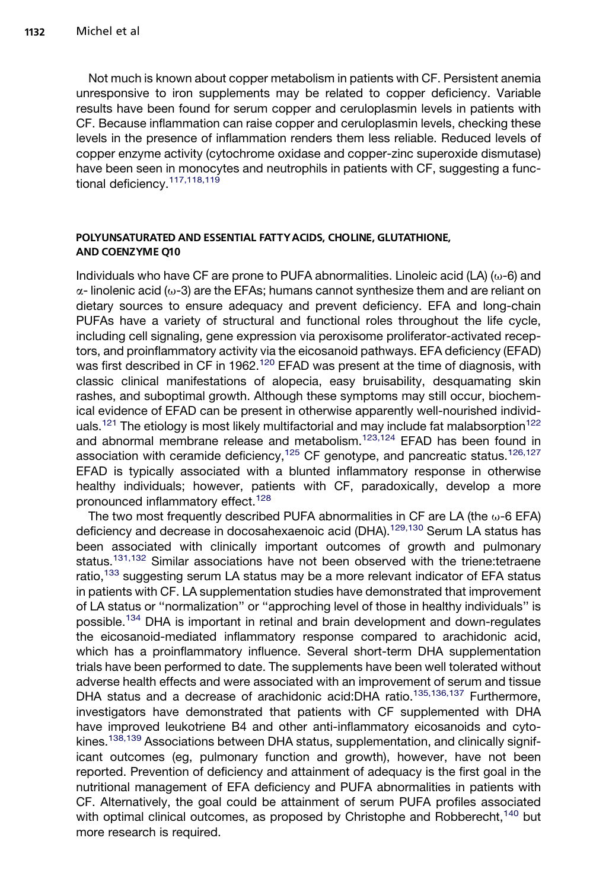Not much is known about copper metabolism in patients with CF. Persistent anemia unresponsive to iron supplements may be related to copper deficiency. Variable results have been found for serum copper and ceruloplasmin levels in patients with CF. Because inflammation can raise copper and ceruloplasmin levels, checking these levels in the presence of inflammation renders them less reliable. Reduced levels of copper enzyme activity (cytochrome oxidase and copper-zinc superoxide dismutase) have been seen in monocytes and neutrophils in patients with CF, suggesting a func-tional deficiency.<sup>[117,118,119](#page-16-0)</sup>

#### POLYUNSATURATED AND ESSENTIAL FATTYACIDS, CHOLINE, GLUTATHIONE, AND COENZYME Q10

Individuals who have CF are prone to PUFA abnormalities. Linoleic acid  $(LA)$  ( $\omega$ -6) and  $\alpha$ - linolenic acid ( $\omega$ -3) are the EFAs; humans cannot synthesize them and are reliant on dietary sources to ensure adequacy and prevent deficiency. EFA and long-chain PUFAs have a variety of structural and functional roles throughout the life cycle, including cell signaling, gene expression via peroxisome proliferator-activated receptors, and proinflammatory activity via the eicosanoid pathways. EFA deficiency (EFAD) was first described in CF in 1962.<sup>[120](#page-16-0)</sup> EFAD was present at the time of diagnosis, with classic clinical manifestations of alopecia, easy bruisability, desquamating skin rashes, and suboptimal growth. Although these symptoms may still occur, biochemical evidence of EFAD can be present in otherwise apparently well-nourished individ-uals.<sup>[121](#page-16-0)</sup> The etiology is most likely multifactorial and may include fat malabsorption<sup>[122](#page-17-0)</sup> and abnormal membrane release and metabolism.<sup>[123,124](#page-17-0)</sup> EFAD has been found in association with ceramide deficiency,<sup>[125](#page-17-0)</sup> CF genotype, and pancreatic status.<sup>[126,127](#page-17-0)</sup> EFAD is typically associated with a blunted inflammatory response in otherwise healthy individuals; however, patients with CF, paradoxically, develop a more pronounced inflammatory effect.<sup>[128](#page-17-0)</sup>

The two most frequently described PUFA abnormalities in CF are LA (the  $\omega$ -6 EFA) deficiency and decrease in docosahexaenoic acid (DHA).<sup>129,130</sup> Serum LA status has been associated with clinically important outcomes of growth and pulmonary status.<sup>131,132</sup> Similar associations have not been observed with the triene:tetraene ratio,<sup>[133](#page-17-0)</sup> suggesting serum LA status may be a more relevant indicator of EFA status in patients with CF. LA supplementation studies have demonstrated that improvement of LA status or ''normalization'' or ''approching level of those in healthy individuals'' is possible.[134](#page-17-0) DHA is important in retinal and brain development and down-regulates the eicosanoid-mediated inflammatory response compared to arachidonic acid, which has a proinflammatory influence. Several short-term DHA supplementation trials have been performed to date. The supplements have been well tolerated without adverse health effects and were associated with an improvement of serum and tissue DHA status and a decrease of arachidonic acid:DHA ratio.<sup>[135,136,137](#page-17-0)</sup> Furthermore. investigators have demonstrated that patients with CF supplemented with DHA have improved leukotriene B4 and other anti-inflammatory eicosanoids and cyto-kines.<sup>[138,139](#page-17-0)</sup> Associations between DHA status, supplementation, and clinically significant outcomes (eg, pulmonary function and growth), however, have not been reported. Prevention of deficiency and attainment of adequacy is the first goal in the nutritional management of EFA deficiency and PUFA abnormalities in patients with CF. Alternatively, the goal could be attainment of serum PUFA profiles associated with optimal clinical outcomes, as proposed by Christophe and Robberecht,<sup>[140](#page-18-0)</sup> but more research is required.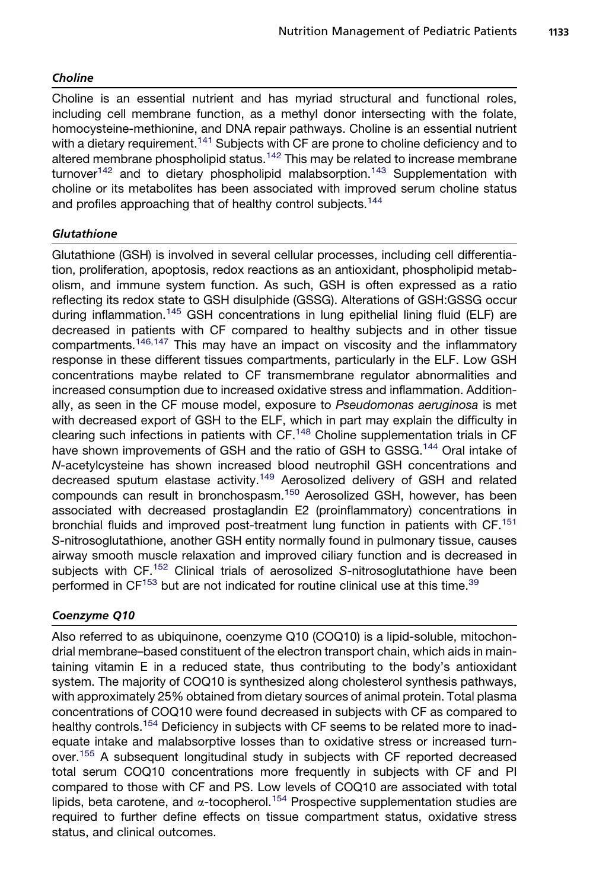## Choline

Choline is an essential nutrient and has myriad structural and functional roles, including cell membrane function, as a methyl donor intersecting with the folate, homocysteine-methionine, and DNA repair pathways. Choline is an essential nutrient with a dietary requirement.<sup>[141](#page-18-0)</sup> Subjects with CF are prone to choline deficiency and to altered membrane phospholipid status.<sup>[142](#page-18-0)</sup> This may be related to increase membrane turnover<sup>[142](#page-18-0)</sup> and to dietary phospholipid malabsorption.<sup>[143](#page-18-0)</sup> Supplementation with choline or its metabolites has been associated with improved serum choline status and profiles approaching that of healthy control subjects.<sup>[144](#page-18-0)</sup>

# **Glutathione**

Glutathione (GSH) is involved in several cellular processes, including cell differentiation, proliferation, apoptosis, redox reactions as an antioxidant, phospholipid metabolism, and immune system function. As such, GSH is often expressed as a ratio reflecting its redox state to GSH disulphide (GSSG). Alterations of GSH:GSSG occur during inflammation.[145](#page-18-0) GSH concentrations in lung epithelial lining fluid (ELF) are decreased in patients with CF compared to healthy subjects and in other tissue compartments.[146,147](#page-18-0) This may have an impact on viscosity and the inflammatory response in these different tissues compartments, particularly in the ELF. Low GSH concentrations maybe related to CF transmembrane regulator abnormalities and increased consumption due to increased oxidative stress and inflammation. Additionally, as seen in the CF mouse model, exposure to *Pseudomonas aeruginosa* is met with decreased export of GSH to the ELF, which in part may explain the difficulty in clearing such infections in patients with  $CF.^{148}$  $CF.^{148}$  $CF.^{148}$  Choline supplementation trials in CF have shown improvements of GSH and the ratio of GSH to GSSG.<sup>[144](#page-18-0)</sup> Oral intake of *N*-acetylcysteine has shown increased blood neutrophil GSH concentrations and decreased sputum elastase activity.[149](#page-18-0) Aerosolized delivery of GSH and related compounds can result in bronchospasm.[150](#page-18-0) Aerosolized GSH, however, has been associated with decreased prostaglandin E2 (proinflammatory) concentrations in bronchial fluids and improved post-treatment lung function in patients with CF.<sup>[151](#page-18-0)</sup> *S*-nitrosoglutathione, another GSH entity normally found in pulmonary tissue, causes airway smooth muscle relaxation and improved ciliary function and is decreased in subjects with CF.[152](#page-18-0) Clinical trials of aerosolized *S*-nitrosoglutathione have been performed in CF<sup>153</sup> but are not indicated for routine clinical use at this time.<sup>[39](#page-13-0)</sup>

## Coenzyme Q10

Also referred to as ubiquinone, coenzyme Q10 (COQ10) is a lipid-soluble, mitochondrial membrane–based constituent of the electron transport chain, which aids in maintaining vitamin E in a reduced state, thus contributing to the body's antioxidant system. The majority of COQ10 is synthesized along cholesterol synthesis pathways, with approximately 25% obtained from dietary sources of animal protein. Total plasma concentrations of COQ10 were found decreased in subjects with CF as compared to healthy controls.<sup>[154](#page-18-0)</sup> Deficiency in subjects with CF seems to be related more to inadequate intake and malabsorptive losses than to oxidative stress or increased turn-over.<sup>[155](#page-18-0)</sup> A subsequent longitudinal study in subjects with CF reported decreased total serum COQ10 concentrations more frequently in subjects with CF and PI compared to those with CF and PS. Low levels of COQ10 are associated with total lipids, beta carotene, and  $\alpha$ -tocopherol.<sup>[154](#page-18-0)</sup> Prospective supplementation studies are required to further define effects on tissue compartment status, oxidative stress status, and clinical outcomes.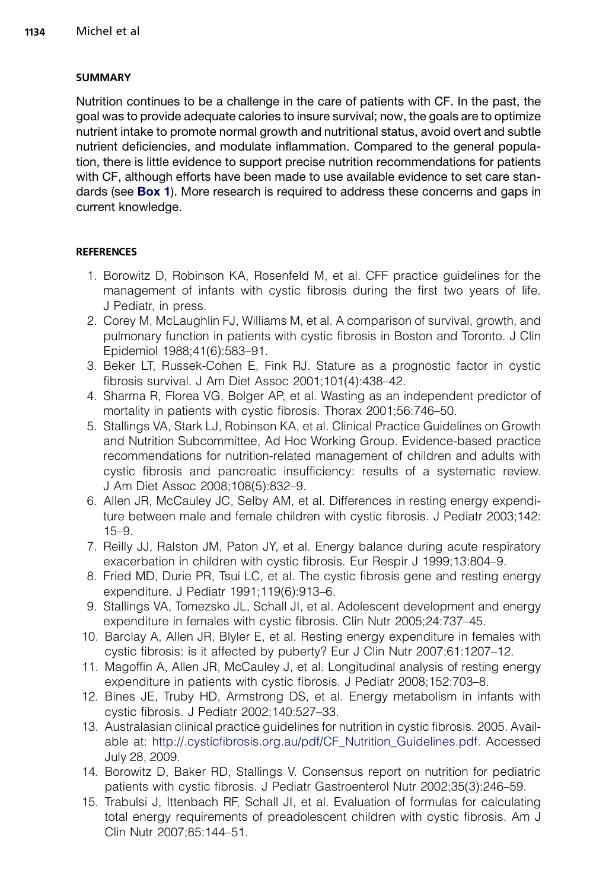## <span id="page-11-0"></span>SUMMARY

Nutrition continues to be a challenge in the care of patients with CF. In the past, the goal was to provide adequate calories to insure survival; now, the goals are to optimize nutrient intake to promote normal growth and nutritional status, avoid overt and subtle nutrient deficiencies, and modulate inflammation. Compared to the general population, there is little evidence to support precise nutrition recommendations for patients with CF, although efforts have been made to use available evidence to set care stan-dards (see [Box 1](#page-3-0)). More research is required to address these concerns and gaps in current knowledge.

# **REFERENCES**

- 1. Borowitz D, Robinson KA, Rosenfeld M, et al. CFF practice guidelines for the management of infants with cystic fibrosis during the first two years of life. J Pediatr, in press.
- 2. Corey M, McLaughlin FJ, Williams M, et al. A comparison of survival, growth, and pulmonary function in patients with cystic fibrosis in Boston and Toronto. J Clin Epidemiol 1988;41(6):583–91.
- 3. Beker LT, Russek-Cohen E, Fink RJ. Stature as a prognostic factor in cystic fibrosis survival. J Am Diet Assoc 2001;101(4):438–42.
- 4. Sharma R, Florea VG, Bolger AP, et al. Wasting as an independent predictor of mortality in patients with cystic fibrosis. Thorax 2001;56:746–50.
- 5. Stallings VA, Stark LJ, Robinson KA, et al. Clinical Practice Guidelines on Growth and Nutrition Subcommittee, Ad Hoc Working Group. Evidence-based practice recommendations for nutrition-related management of children and adults with cystic fibrosis and pancreatic insufficiency: results of a systematic review. J Am Diet Assoc 2008;108(5):832–9.
- 6. Allen JR, McCauley JC, Selby AM, et al. Differences in resting energy expenditure between male and female children with cystic fibrosis. J Pediatr 2003;142: 15–9.
- 7. Reilly JJ, Ralston JM, Paton JY, et al. Energy balance during acute respiratory exacerbation in children with cystic fibrosis. Eur Respir J 1999;13:804–9.
- 8. Fried MD, Durie PR, Tsui LC, et al. The cystic fibrosis gene and resting energy expenditure. J Pediatr 1991;119(6):913–6.
- 9. Stallings VA, Tomezsko JL, Schall JI, et al. Adolescent development and energy expenditure in females with cystic fibrosis. Clin Nutr 2005;24:737–45.
- 10. Barclay A, Allen JR, Blyler E, et al. Resting energy expenditure in females with cystic fibrosis: is it affected by puberty? Eur J Clin Nutr 2007;61:1207–12.
- 11. Magoffin A, Allen JR, McCauley J, et al. Longitudinal analysis of resting energy expenditure in patients with cystic fibrosis. J Pediatr 2008;152:703–8.
- 12. Bines JE, Truby HD, Armstrong DS, et al. Energy metabolism in infants with cystic fibrosis. J Pediatr 2002;140:527–33.
- 13. Australasian clinical practice guidelines for nutrition in cystic fibrosis. 2005. Available at: [http://.cysticfibrosis.org.au/pdf/CF\\_Nutrition\\_Guidelines.pdf.](http://.cysticfibrosis.org.au/pdf/CF_Nutrition_Guidelines.pdf) Accessed July 28, 2009.
- 14. Borowitz D, Baker RD, Stallings V. Consensus report on nutrition for pediatric patients with cystic fibrosis. J Pediatr Gastroenterol Nutr 2002;35(3):246–59.
- 15. Trabulsi J, Ittenbach RF, Schall JI, et al. Evaluation of formulas for calculating total energy requirements of preadolescent children with cystic fibrosis. Am J Clin Nutr 2007;85:144–51.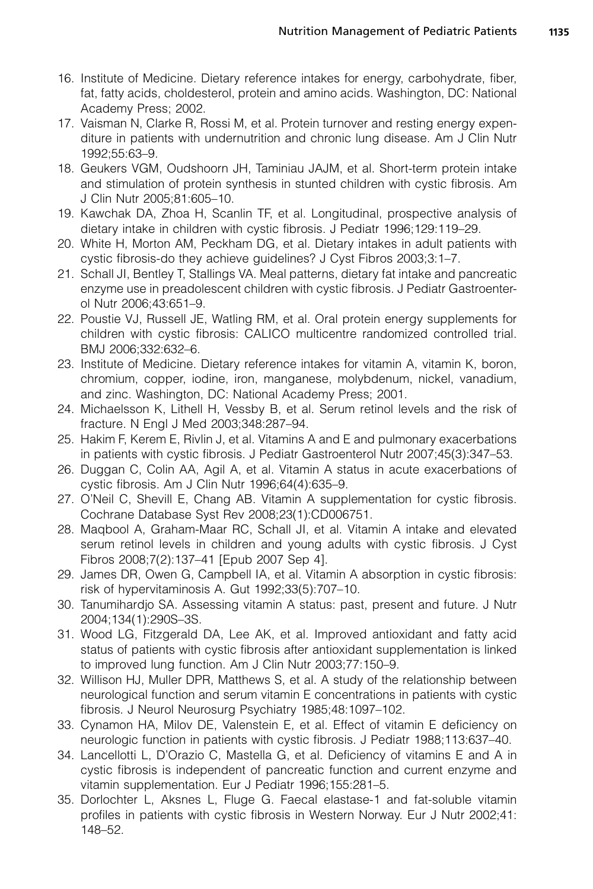- <span id="page-12-0"></span>16. Institute of Medicine. Dietary reference intakes for energy, carbohydrate, fiber, fat, fatty acids, choldesterol, protein and amino acids. Washington, DC: National Academy Press; 2002.
- 17. Vaisman N, Clarke R, Rossi M, et al. Protein turnover and resting energy expenditure in patients with undernutrition and chronic lung disease. Am J Clin Nutr 1992;55:63–9.
- 18. Geukers VGM, Oudshoorn JH, Taminiau JAJM, et al. Short-term protein intake and stimulation of protein synthesis in stunted children with cystic fibrosis. Am J Clin Nutr 2005;81:605–10.
- 19. Kawchak DA, Zhoa H, Scanlin TF, et al. Longitudinal, prospective analysis of dietary intake in children with cystic fibrosis. J Pediatr 1996;129:119–29.
- 20. White H, Morton AM, Peckham DG, et al. Dietary intakes in adult patients with cystic fibrosis-do they achieve guidelines? J Cyst Fibros 2003;3:1–7.
- 21. Schall JI, Bentley T, Stallings VA. Meal patterns, dietary fat intake and pancreatic enzyme use in preadolescent children with cystic fibrosis. J Pediatr Gastroenterol Nutr 2006;43:651–9.
- 22. Poustie VJ, Russell JE, Watling RM, et al. Oral protein energy supplements for children with cystic fibrosis: CALICO multicentre randomized controlled trial. BMJ 2006;332:632–6.
- 23. Institute of Medicine. Dietary reference intakes for vitamin A, vitamin K, boron, chromium, copper, iodine, iron, manganese, molybdenum, nickel, vanadium, and zinc. Washington, DC: National Academy Press; 2001.
- 24. Michaelsson K, Lithell H, Vessby B, et al. Serum retinol levels and the risk of fracture. N Engl J Med 2003;348:287–94.
- 25. Hakim F, Kerem E, Rivlin J, et al. Vitamins A and E and pulmonary exacerbations in patients with cystic fibrosis. J Pediatr Gastroenterol Nutr 2007;45(3):347–53.
- 26. Duggan C, Colin AA, Agil A, et al. Vitamin A status in acute exacerbations of cystic fibrosis. Am J Clin Nutr 1996;64(4):635–9.
- 27. O'Neil C, Shevill E, Chang AB. Vitamin A supplementation for cystic fibrosis. Cochrane Database Syst Rev 2008;23(1):CD006751.
- 28. Maqbool A, Graham-Maar RC, Schall JI, et al. Vitamin A intake and elevated serum retinol levels in children and young adults with cystic fibrosis. J Cyst Fibros 2008;7(2):137–41 [Epub 2007 Sep 4].
- 29. James DR, Owen G, Campbell IA, et al. Vitamin A absorption in cystic fibrosis: risk of hypervitaminosis A. Gut 1992;33(5):707–10.
- 30. Tanumihardjo SA. Assessing vitamin A status: past, present and future. J Nutr 2004;134(1):290S–3S.
- 31. Wood LG, Fitzgerald DA, Lee AK, et al. Improved antioxidant and fatty acid status of patients with cystic fibrosis after antioxidant supplementation is linked to improved lung function. Am J Clin Nutr 2003;77:150–9.
- 32. Willison HJ, Muller DPR, Matthews S, et al. A study of the relationship between neurological function and serum vitamin E concentrations in patients with cystic fibrosis. J Neurol Neurosurg Psychiatry 1985;48:1097–102.
- 33. Cynamon HA, Milov DE, Valenstein E, et al. Effect of vitamin E deficiency on neurologic function in patients with cystic fibrosis. J Pediatr 1988;113:637–40.
- 34. Lancellotti L, D'Orazio C, Mastella G, et al. Deficiency of vitamins E and A in cystic fibrosis is independent of pancreatic function and current enzyme and vitamin supplementation. Eur J Pediatr 1996;155:281–5.
- 35. Dorlochter L, Aksnes L, Fluge G. Faecal elastase-1 and fat-soluble vitamin profiles in patients with cystic fibrosis in Western Norway. Eur J Nutr 2002;41: 148–52.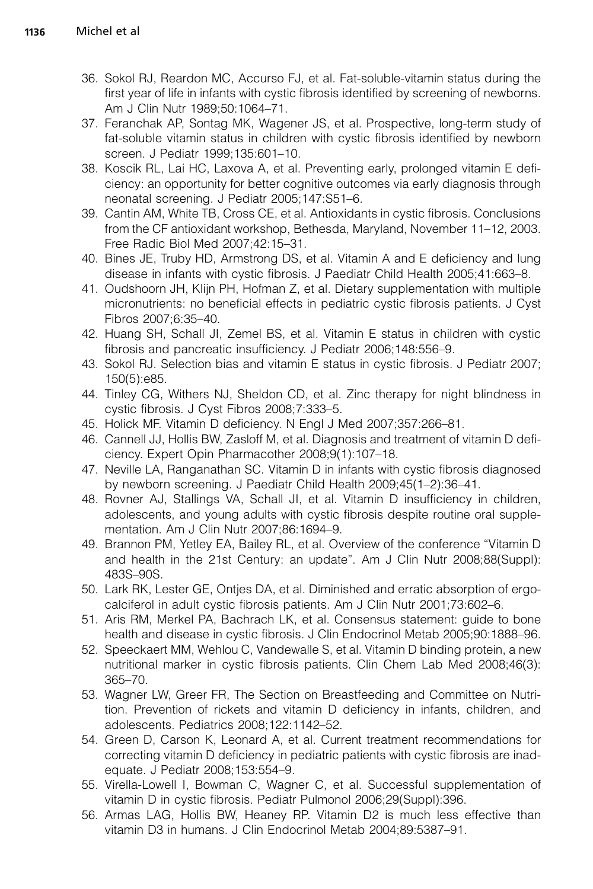- <span id="page-13-0"></span>36. Sokol RJ, Reardon MC, Accurso FJ, et al. Fat-soluble-vitamin status during the first year of life in infants with cystic fibrosis identified by screening of newborns. Am J Clin Nutr 1989;50:1064–71.
- 37. Feranchak AP, Sontag MK, Wagener JS, et al. Prospective, long-term study of fat-soluble vitamin status in children with cystic fibrosis identified by newborn screen. J Pediatr 1999;135:601–10.
- 38. Koscik RL, Lai HC, Laxova A, et al. Preventing early, prolonged vitamin E deficiency: an opportunity for better cognitive outcomes via early diagnosis through neonatal screening. J Pediatr 2005;147:S51–6.
- 39. Cantin AM, White TB, Cross CE, et al. Antioxidants in cystic fibrosis. Conclusions from the CF antioxidant workshop, Bethesda, Maryland, November 11–12, 2003. Free Radic Biol Med 2007;42:15–31.
- 40. Bines JE, Truby HD, Armstrong DS, et al. Vitamin A and E deficiency and lung disease in infants with cystic fibrosis. J Paediatr Child Health 2005;41:663–8.
- 41. Oudshoorn JH, Klijn PH, Hofman Z, et al. Dietary supplementation with multiple micronutrients: no beneficial effects in pediatric cystic fibrosis patients. J Cyst Fibros 2007;6:35–40.
- 42. Huang SH, Schall JI, Zemel BS, et al. Vitamin E status in children with cystic fibrosis and pancreatic insufficiency. J Pediatr 2006;148:556–9.
- 43. Sokol RJ. Selection bias and vitamin E status in cystic fibrosis. J Pediatr 2007; 150(5):e85.
- 44. Tinley CG, Withers NJ, Sheldon CD, et al. Zinc therapy for night blindness in cystic fibrosis. J Cyst Fibros 2008;7:333–5.
- 45. Holick MF. Vitamin D deficiency. N Engl J Med 2007;357:266–81.
- 46. Cannell JJ, Hollis BW, Zasloff M, et al. Diagnosis and treatment of vitamin D deficiency. Expert Opin Pharmacother 2008;9(1):107–18.
- 47. Neville LA, Ranganathan SC. Vitamin D in infants with cystic fibrosis diagnosed by newborn screening. J Paediatr Child Health 2009;45(1–2):36–41.
- 48. Rovner AJ, Stallings VA, Schall JI, et al. Vitamin D insufficiency in children, adolescents, and young adults with cystic fibrosis despite routine oral supplementation. Am J Clin Nutr 2007;86:1694–9.
- 49. Brannon PM, Yetley EA, Bailey RL, et al. Overview of the conference ''Vitamin D and health in the 21st Century: an update''. Am J Clin Nutr 2008;88(Suppl): 483S–90S.
- 50. Lark RK, Lester GE, Ontjes DA, et al. Diminished and erratic absorption of ergocalciferol in adult cystic fibrosis patients. Am J Clin Nutr 2001;73:602–6.
- 51. Aris RM, Merkel PA, Bachrach LK, et al. Consensus statement: guide to bone health and disease in cystic fibrosis. J Clin Endocrinol Metab 2005;90:1888–96.
- 52. Speeckaert MM, Wehlou C, Vandewalle S, et al. Vitamin D binding protein, a new nutritional marker in cystic fibrosis patients. Clin Chem Lab Med 2008;46(3): 365–70.
- 53. Wagner LW, Greer FR, The Section on Breastfeeding and Committee on Nutrition. Prevention of rickets and vitamin D deficiency in infants, children, and adolescents. Pediatrics 2008;122:1142–52.
- 54. Green D, Carson K, Leonard A, et al. Current treatment recommendations for correcting vitamin D deficiency in pediatric patients with cystic fibrosis are inadequate. J Pediatr 2008;153:554–9.
- 55. Virella-Lowell I, Bowman C, Wagner C, et al. Successful supplementation of vitamin D in cystic fibrosis. Pediatr Pulmonol 2006;29(Suppl):396.
- 56. Armas LAG, Hollis BW, Heaney RP. Vitamin D2 is much less effective than vitamin D3 in humans. J Clin Endocrinol Metab 2004;89:5387–91.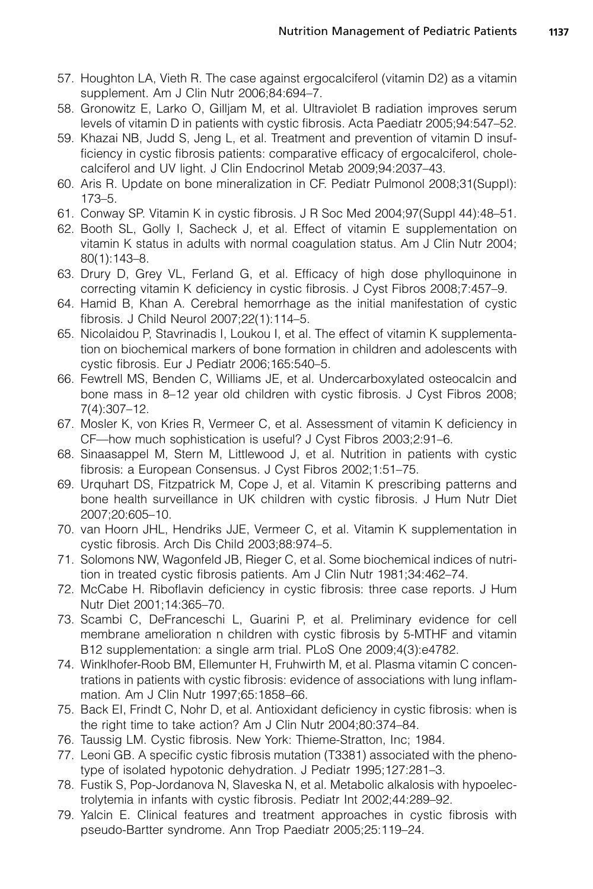- <span id="page-14-0"></span>57. Houghton LA, Vieth R. The case against ergocalciferol (vitamin D2) as a vitamin supplement. Am J Clin Nutr 2006;84:694–7.
- 58. Gronowitz E, Larko O, Gilljam M, et al. Ultraviolet B radiation improves serum levels of vitamin D in patients with cystic fibrosis. Acta Paediatr 2005;94:547–52.
- 59. Khazai NB, Judd S, Jeng L, et al. Treatment and prevention of vitamin D insufficiency in cystic fibrosis patients: comparative efficacy of ergocalciferol, cholecalciferol and UV light. J Clin Endocrinol Metab 2009;94:2037–43.
- 60. Aris R. Update on bone mineralization in CF. Pediatr Pulmonol 2008;31(Suppl): 173–5.
- 61. Conway SP. Vitamin K in cystic fibrosis. J R Soc Med 2004;97(Suppl 44):48–51.
- 62. Booth SL, Golly I, Sacheck J, et al. Effect of vitamin E supplementation on vitamin K status in adults with normal coagulation status. Am J Clin Nutr 2004; 80(1):143–8.
- 63. Drury D, Grey VL, Ferland G, et al. Efficacy of high dose phylloquinone in correcting vitamin K deficiency in cystic fibrosis. J Cyst Fibros 2008;7:457–9.
- 64. Hamid B, Khan A. Cerebral hemorrhage as the initial manifestation of cystic fibrosis. J Child Neurol 2007;22(1):114–5.
- 65. Nicolaidou P, Stavrinadis I, Loukou I, et al. The effect of vitamin K supplementation on biochemical markers of bone formation in children and adolescents with cystic fibrosis. Eur J Pediatr 2006;165:540–5.
- 66. Fewtrell MS, Benden C, Williams JE, et al. Undercarboxylated osteocalcin and bone mass in 8–12 year old children with cystic fibrosis. J Cyst Fibros 2008; 7(4):307–12.
- 67. Mosler K, von Kries R, Vermeer C, et al. Assessment of vitamin K deficiency in CF—how much sophistication is useful? J Cyst Fibros 2003;2:91–6.
- 68. Sinaasappel M, Stern M, Littlewood J, et al. Nutrition in patients with cystic fibrosis: a European Consensus. J Cyst Fibros 2002;1:51–75.
- 69. Urquhart DS, Fitzpatrick M, Cope J, et al. Vitamin K prescribing patterns and bone health surveillance in UK children with cystic fibrosis. J Hum Nutr Diet 2007;20:605–10.
- 70. van Hoorn JHL, Hendriks JJE, Vermeer C, et al. Vitamin K supplementation in cystic fibrosis. Arch Dis Child 2003;88:974–5.
- 71. Solomons NW, Wagonfeld JB, Rieger C, et al. Some biochemical indices of nutrition in treated cystic fibrosis patients. Am J Clin Nutr 1981;34:462–74.
- 72. McCabe H. Riboflavin deficiency in cystic fibrosis: three case reports. J Hum Nutr Diet 2001;14:365–70.
- 73. Scambi C, DeFranceschi L, Guarini P, et al. Preliminary evidence for cell membrane amelioration n children with cystic fibrosis by 5-MTHF and vitamin B12 supplementation: a single arm trial. PLoS One 2009;4(3):e4782.
- 74. Winklhofer-Roob BM, Ellemunter H, Fruhwirth M, et al. Plasma vitamin C concentrations in patients with cystic fibrosis: evidence of associations with lung inflammation. Am J Clin Nutr 1997;65:1858–66.
- 75. Back EI, Frindt C, Nohr D, et al. Antioxidant deficiency in cystic fibrosis: when is the right time to take action? Am J Clin Nutr 2004;80:374–84.
- 76. Taussig LM. Cystic fibrosis. New York: Thieme-Stratton, Inc; 1984.
- 77. Leoni GB. A specific cystic fibrosis mutation (T3381) associated with the phenotype of isolated hypotonic dehydration. J Pediatr 1995;127:281–3.
- 78. Fustik S, Pop-Jordanova N, Slaveska N, et al. Metabolic alkalosis with hypoelectrolytemia in infants with cystic fibrosis. Pediatr Int 2002;44:289–92.
- 79. Yalcin E. Clinical features and treatment approaches in cystic fibrosis with pseudo-Bartter syndrome. Ann Trop Paediatr 2005;25:119–24.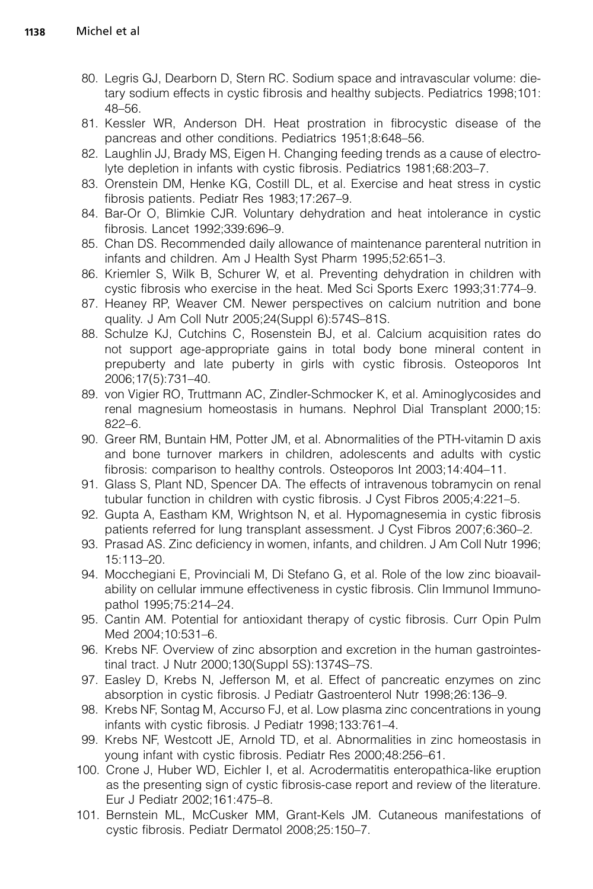- <span id="page-15-0"></span>80. Legris GJ, Dearborn D, Stern RC. Sodium space and intravascular volume: dietary sodium effects in cystic fibrosis and healthy subjects. Pediatrics 1998;101: 48–56.
- 81. Kessler WR, Anderson DH. Heat prostration in fibrocystic disease of the pancreas and other conditions. Pediatrics 1951;8:648–56.
- 82. Laughlin JJ, Brady MS, Eigen H. Changing feeding trends as a cause of electrolyte depletion in infants with cystic fibrosis. Pediatrics 1981;68:203–7.
- 83. Orenstein DM, Henke KG, Costill DL, et al. Exercise and heat stress in cystic fibrosis patients. Pediatr Res 1983;17:267–9.
- 84. Bar-Or O, Blimkie CJR. Voluntary dehydration and heat intolerance in cystic fibrosis. Lancet 1992;339:696–9.
- 85. Chan DS. Recommended daily allowance of maintenance parenteral nutrition in infants and children. Am J Health Syst Pharm 1995;52:651–3.
- 86. Kriemler S, Wilk B, Schurer W, et al. Preventing dehydration in children with cystic fibrosis who exercise in the heat. Med Sci Sports Exerc 1993;31:774–9.
- 87. Heaney RP, Weaver CM. Newer perspectives on calcium nutrition and bone quality. J Am Coll Nutr 2005;24(Suppl 6):574S–81S.
- 88. Schulze KJ, Cutchins C, Rosenstein BJ, et al. Calcium acquisition rates do not support age-appropriate gains in total body bone mineral content in prepuberty and late puberty in girls with cystic fibrosis. Osteoporos Int 2006;17(5):731–40.
- 89. von Vigier RO, Truttmann AC, Zindler-Schmocker K, et al. Aminoglycosides and renal magnesium homeostasis in humans. Nephrol Dial Transplant 2000;15: 822–6.
- 90. Greer RM, Buntain HM, Potter JM, et al. Abnormalities of the PTH-vitamin D axis and bone turnover markers in children, adolescents and adults with cystic fibrosis: comparison to healthy controls. Osteoporos Int 2003;14:404–11.
- 91. Glass S, Plant ND, Spencer DA. The effects of intravenous tobramycin on renal tubular function in children with cystic fibrosis. J Cyst Fibros 2005;4:221–5.
- 92. Gupta A, Eastham KM, Wrightson N, et al. Hypomagnesemia in cystic fibrosis patients referred for lung transplant assessment. J Cyst Fibros 2007;6:360–2.
- 93. Prasad AS. Zinc deficiency in women, infants, and children. J Am Coll Nutr 1996; 15:113–20.
- 94. Mocchegiani E, Provinciali M, Di Stefano G, et al. Role of the low zinc bioavailability on cellular immune effectiveness in cystic fibrosis. Clin Immunol Immunopathol 1995;75:214–24.
- 95. Cantin AM. Potential for antioxidant therapy of cystic fibrosis. Curr Opin Pulm Med 2004;10:531–6.
- 96. Krebs NF. Overview of zinc absorption and excretion in the human gastrointestinal tract. J Nutr 2000;130(Suppl 5S):1374S–7S.
- 97. Easley D, Krebs N, Jefferson M, et al. Effect of pancreatic enzymes on zinc absorption in cystic fibrosis. J Pediatr Gastroenterol Nutr 1998;26:136–9.
- 98. Krebs NF, Sontag M, Accurso FJ, et al. Low plasma zinc concentrations in young infants with cystic fibrosis. J Pediatr 1998;133:761–4.
- 99. Krebs NF, Westcott JE, Arnold TD, et al. Abnormalities in zinc homeostasis in young infant with cystic fibrosis. Pediatr Res 2000;48:256–61.
- 100. Crone J, Huber WD, Eichler I, et al. Acrodermatitis enteropathica-like eruption as the presenting sign of cystic fibrosis-case report and review of the literature. Eur J Pediatr 2002;161:475–8.
- 101. Bernstein ML, McCusker MM, Grant-Kels JM. Cutaneous manifestations of cystic fibrosis. Pediatr Dermatol 2008;25:150–7.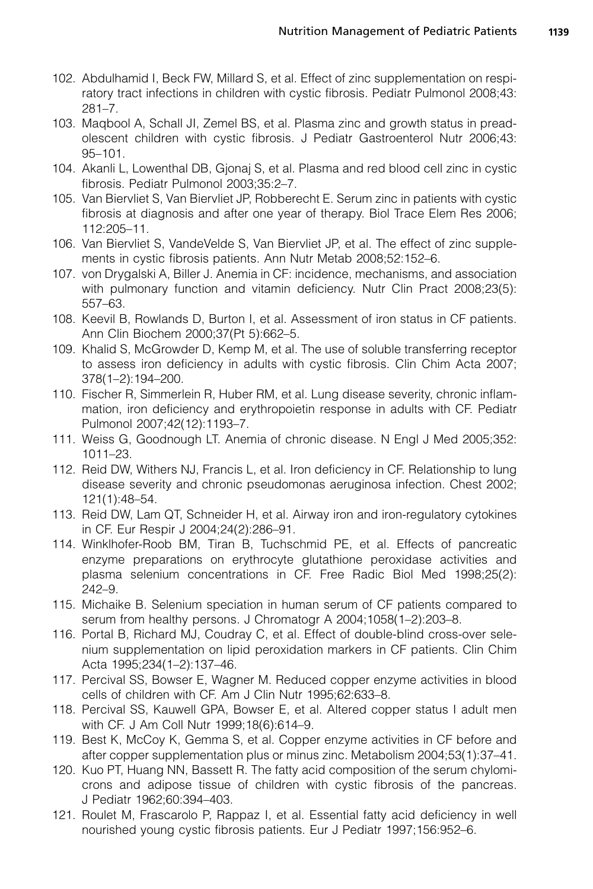- <span id="page-16-0"></span>102. Abdulhamid I, Beck FW, Millard S, et al. Effect of zinc supplementation on respiratory tract infections in children with cystic fibrosis. Pediatr Pulmonol 2008;43: 281–7.
- 103. Maqbool A, Schall JI, Zemel BS, et al. Plasma zinc and growth status in preadolescent children with cystic fibrosis. J Pediatr Gastroenterol Nutr 2006;43: 95–101.
- 104. Akanli L, Lowenthal DB, Gjonaj S, et al. Plasma and red blood cell zinc in cystic fibrosis. Pediatr Pulmonol 2003;35:2–7.
- 105. Van Biervliet S, Van Biervliet JP, Robberecht E. Serum zinc in patients with cystic fibrosis at diagnosis and after one year of therapy. Biol Trace Elem Res 2006; 112:205–11.
- 106. Van Biervliet S, VandeVelde S, Van Biervliet JP, et al. The effect of zinc supplements in cystic fibrosis patients. Ann Nutr Metab 2008;52:152–6.
- 107. von Drygalski A, Biller J. Anemia in CF: incidence, mechanisms, and association with pulmonary function and vitamin deficiency. Nutr Clin Pract 2008;23(5): 557–63.
- 108. Keevil B, Rowlands D, Burton I, et al. Assessment of iron status in CF patients. Ann Clin Biochem 2000;37(Pt 5):662–5.
- 109. Khalid S, McGrowder D, Kemp M, et al. The use of soluble transferring receptor to assess iron deficiency in adults with cystic fibrosis. Clin Chim Acta 2007; 378(1–2):194–200.
- 110. Fischer R, Simmerlein R, Huber RM, et al. Lung disease severity, chronic inflammation, iron deficiency and erythropoietin response in adults with CF. Pediatr Pulmonol 2007;42(12):1193–7.
- 111. Weiss G, Goodnough LT. Anemia of chronic disease. N Engl J Med 2005;352: 1011–23.
- 112. Reid DW, Withers NJ, Francis L, et al. Iron deficiency in CF. Relationship to lung disease severity and chronic pseudomonas aeruginosa infection. Chest 2002; 121(1):48–54.
- 113. Reid DW, Lam QT, Schneider H, et al. Airway iron and iron-regulatory cytokines in CF. Eur Respir J 2004;24(2):286–91.
- 114. Winklhofer-Roob BM, Tiran B, Tuchschmid PE, et al. Effects of pancreatic enzyme preparations on erythrocyte glutathione peroxidase activities and plasma selenium concentrations in CF. Free Radic Biol Med 1998;25(2): 242–9.
- 115. Michaike B. Selenium speciation in human serum of CF patients compared to serum from healthy persons. J Chromatogr A 2004;1058(1–2):203–8.
- 116. Portal B, Richard MJ, Coudray C, et al. Effect of double-blind cross-over selenium supplementation on lipid peroxidation markers in CF patients. Clin Chim Acta 1995;234(1–2):137–46.
- 117. Percival SS, Bowser E, Wagner M. Reduced copper enzyme activities in blood cells of children with CF. Am J Clin Nutr 1995;62:633–8.
- 118. Percival SS, Kauwell GPA, Bowser E, et al. Altered copper status I adult men with CF. J Am Coll Nutr 1999;18(6):614–9.
- 119. Best K, McCoy K, Gemma S, et al. Copper enzyme activities in CF before and after copper supplementation plus or minus zinc. Metabolism 2004;53(1):37–41.
- 120. Kuo PT, Huang NN, Bassett R. The fatty acid composition of the serum chylomicrons and adipose tissue of children with cystic fibrosis of the pancreas. J Pediatr 1962;60:394–403.
- 121. Roulet M, Frascarolo P, Rappaz I, et al. Essential fatty acid deficiency in well nourished young cystic fibrosis patients. Eur J Pediatr 1997;156:952–6.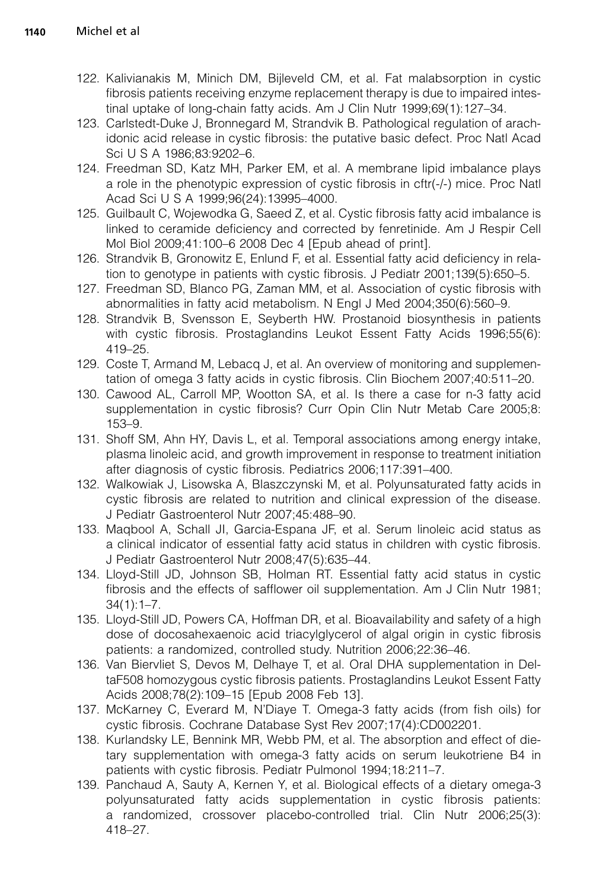- <span id="page-17-0"></span>122. Kalivianakis M, Minich DM, Bijleveld CM, et al. Fat malabsorption in cystic fibrosis patients receiving enzyme replacement therapy is due to impaired intestinal uptake of long-chain fatty acids. Am J Clin Nutr 1999;69(1):127–34.
- 123. Carlstedt-Duke J, Bronnegard M, Strandvik B. Pathological regulation of arachidonic acid release in cystic fibrosis: the putative basic defect. Proc Natl Acad Sci U S A 1986;83:9202–6.
- 124. Freedman SD, Katz MH, Parker EM, et al. A membrane lipid imbalance plays a role in the phenotypic expression of cystic fibrosis in cftr(-/-) mice. Proc Natl Acad Sci U S A 1999;96(24):13995–4000.
- 125. Guilbault C, Wojewodka G, Saeed Z, et al. Cystic fibrosis fatty acid imbalance is linked to ceramide deficiency and corrected by fenretinide. Am J Respir Cell Mol Biol 2009;41:100–6 2008 Dec 4 [Epub ahead of print].
- 126. Strandvik B, Gronowitz E, Enlund F, et al. Essential fatty acid deficiency in relation to genotype in patients with cystic fibrosis. J Pediatr 2001;139(5):650–5.
- 127. Freedman SD, Blanco PG, Zaman MM, et al. Association of cystic fibrosis with abnormalities in fatty acid metabolism. N Engl J Med 2004;350(6):560–9.
- 128. Strandvik B, Svensson E, Seyberth HW. Prostanoid biosynthesis in patients with cystic fibrosis. Prostaglandins Leukot Essent Fatty Acids 1996;55(6): 419–25.
- 129. Coste T, Armand M, Lebacq J, et al. An overview of monitoring and supplementation of omega 3 fatty acids in cystic fibrosis. Clin Biochem 2007;40:511–20.
- 130. Cawood AL, Carroll MP, Wootton SA, et al. Is there a case for n-3 fatty acid supplementation in cystic fibrosis? Curr Opin Clin Nutr Metab Care 2005;8: 153–9.
- 131. Shoff SM, Ahn HY, Davis L, et al. Temporal associations among energy intake, plasma linoleic acid, and growth improvement in response to treatment initiation after diagnosis of cystic fibrosis. Pediatrics 2006;117:391–400.
- 132. Walkowiak J, Lisowska A, Blaszczynski M, et al. Polyunsaturated fatty acids in cystic fibrosis are related to nutrition and clinical expression of the disease. J Pediatr Gastroenterol Nutr 2007;45:488–90.
- 133. Maqbool A, Schall JI, Garcia-Espana JF, et al. Serum linoleic acid status as a clinical indicator of essential fatty acid status in children with cystic fibrosis. J Pediatr Gastroenterol Nutr 2008;47(5):635–44.
- 134. Lloyd-Still JD, Johnson SB, Holman RT. Essential fatty acid status in cystic fibrosis and the effects of safflower oil supplementation. Am J Clin Nutr 1981;  $34(1):1-7$ .
- 135. Lloyd-Still JD, Powers CA, Hoffman DR, et al. Bioavailability and safety of a high dose of docosahexaenoic acid triacylglycerol of algal origin in cystic fibrosis patients: a randomized, controlled study. Nutrition 2006;22:36–46.
- 136. Van Biervliet S, Devos M, Delhaye T, et al. Oral DHA supplementation in DeltaF508 homozygous cystic fibrosis patients. Prostaglandins Leukot Essent Fatty Acids 2008;78(2):109–15 [Epub 2008 Feb 13].
- 137. McKarney C, Everard M, N'Diaye T. Omega-3 fatty acids (from fish oils) for cystic fibrosis. Cochrane Database Syst Rev 2007;17(4):CD002201.
- 138. Kurlandsky LE, Bennink MR, Webb PM, et al. The absorption and effect of dietary supplementation with omega-3 fatty acids on serum leukotriene B4 in patients with cystic fibrosis. Pediatr Pulmonol 1994;18:211–7.
- 139. Panchaud A, Sauty A, Kernen Y, et al. Biological effects of a dietary omega-3 polyunsaturated fatty acids supplementation in cystic fibrosis patients: a randomized, crossover placebo-controlled trial. Clin Nutr 2006;25(3): 418–27.